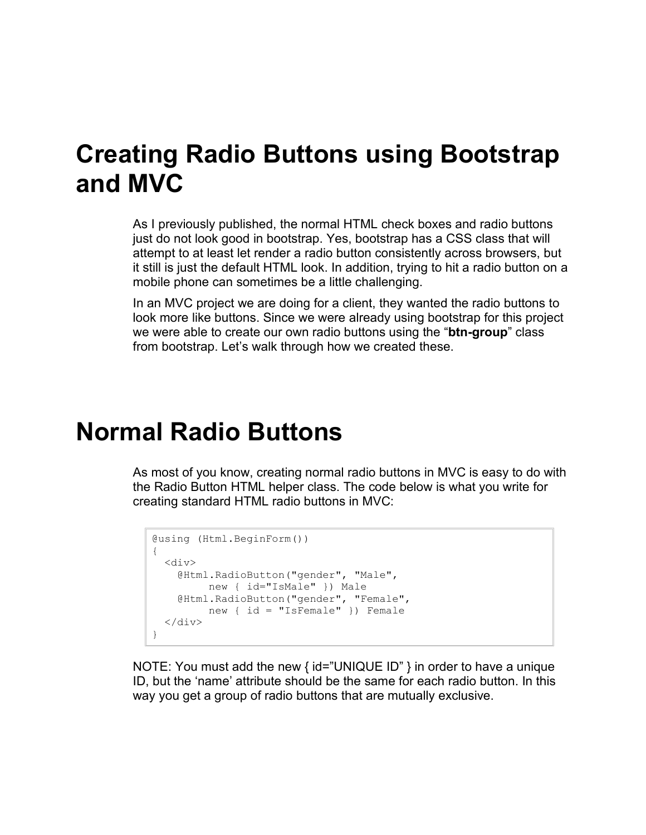#### **Creating Radio Buttons using Bootstrap and MVC**

As I previously published, the normal HTML check boxes and radio buttons just do not look good in bootstrap. Yes, bootstrap has a CSS class that will attempt to at least let render a radio button consistently across browsers, but it still is just the default HTML look. In addition, trying to hit a radio button on a mobile phone can sometimes be a little challenging.

In an MVC project we are doing for a client, they wanted the radio buttons to look more like buttons. Since we were already using bootstrap for this project we were able to create our own radio buttons using the "**btn-group**" class from bootstrap. Let's walk through how we created these.

#### **Normal Radio Buttons**

As most of you know, creating normal radio buttons in MVC is easy to do with the Radio Button HTML helper class. The code below is what you write for creating standard HTML radio buttons in MVC:

```
@using (Html.BeginForm())
{
  <div>
   @Html.RadioButton("gender", "Male", 
       new { id="IsMale" }) Male
   @Html.RadioButton("gender", "Female", 
        new { id = "IsFemale" }) Female
 \langlediv\rangle}
```
NOTE: You must add the new { id="UNIQUE ID" } in order to have a unique ID, but the 'name' attribute should be the same for each radio button. In this way you get a group of radio buttons that are mutually exclusive.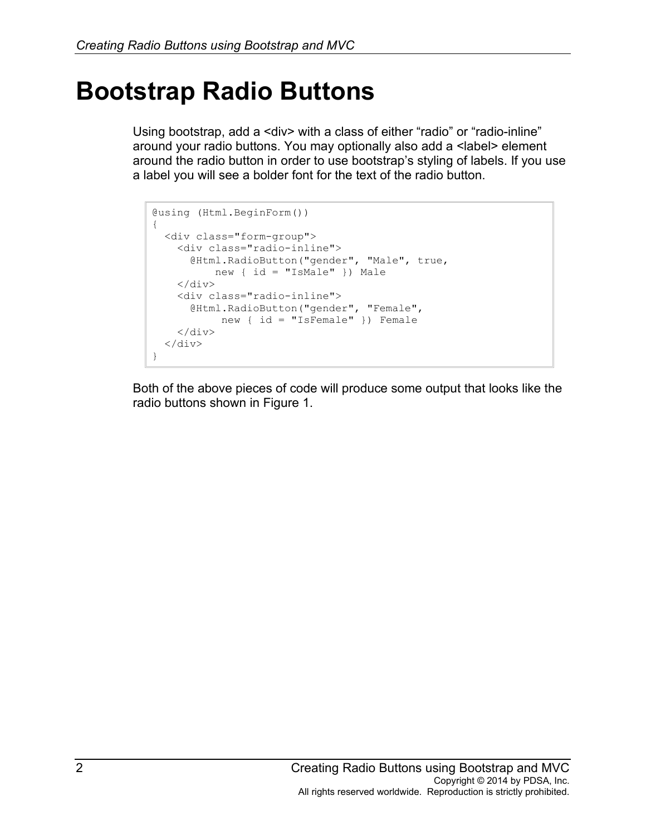### **Bootstrap Radio Buttons**

Using bootstrap, add a <div> with a class of either "radio" or "radio-inline" around your radio buttons. You may optionally also add a <label> element around the radio button in order to use bootstrap's styling of labels. If you use a label you will see a bolder font for the text of the radio button.

```
@using (Html.BeginForm())
{
   <div class="form-group">
     <div class="radio-inline">
       @Html.RadioButton("gender", "Male", true,
          new { id = "IsMale" }) Male
     </div>
     <div class="radio-inline">
       @Html.RadioButton("gender", "Female", 
           new { id = "IsFemale" }) Female
    \langle div>
  \langle div>
}
```
Both of the above pieces of code will produce some output that looks like the radio buttons shown in Figure 1.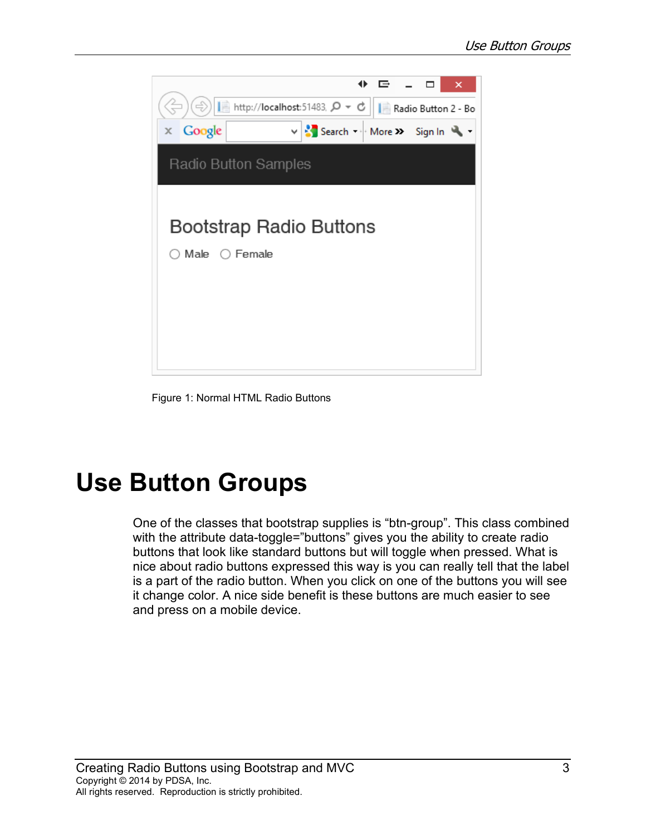

Figure 1: Normal HTML Radio Buttons

## **Use Button Groups**

One of the classes that bootstrap supplies is "btn-group". This class combined with the attribute data-toggle="buttons" gives you the ability to create radio buttons that look like standard buttons but will toggle when pressed. What is nice about radio buttons expressed this way is you can really tell that the label is a part of the radio button. When you click on one of the buttons you will see it change color. A nice side benefit is these buttons are much easier to see and press on a mobile device.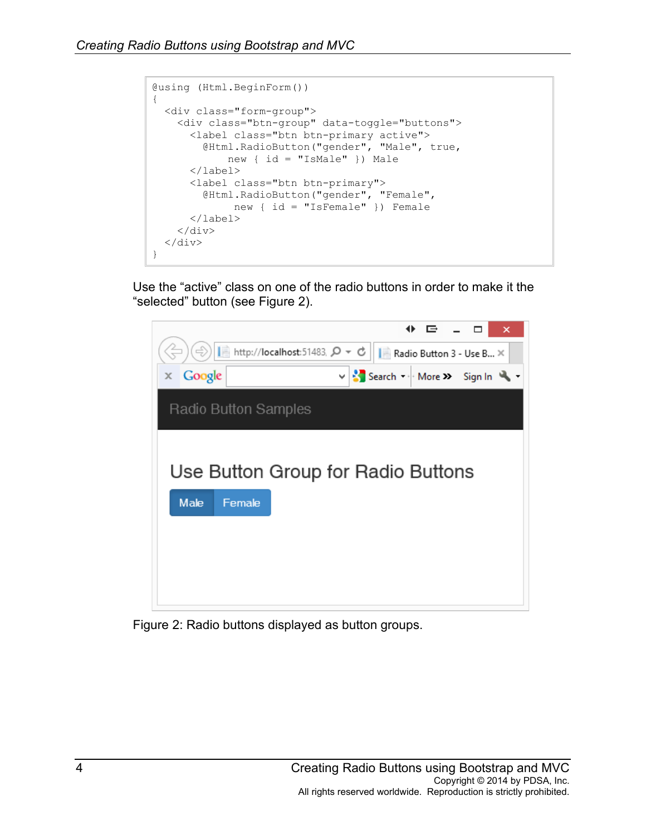```
@using (Html.BeginForm())
{
   <div class="form-group">
     <div class="btn-group" data-toggle="buttons">
       <label class="btn btn-primary active">
         @Html.RadioButton("gender", "Male", true,
             new { id = "IsMale" }) Male
       </label>
       <label class="btn btn-primary">
         @Html.RadioButton("gender", "Female", 
              new { id = "IsFemale" }) Female
       </label>
    \langlediv>\langlediv>}
```
Use the "active" class on one of the radio buttons in order to make it the "selected" button (see Figure 2).



Figure 2: Radio buttons displayed as button groups.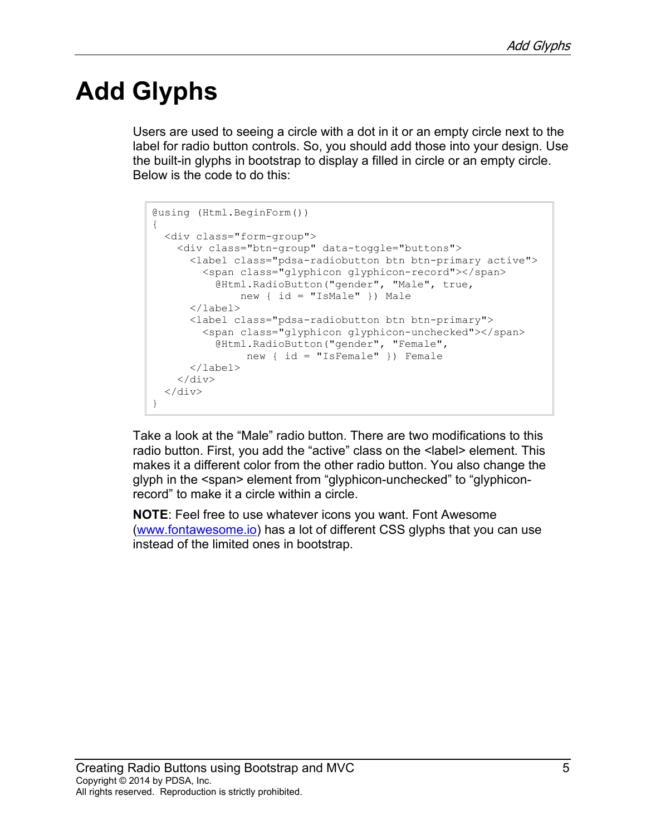# **Add Glyphs**

Users are used to seeing a circle with a dot in it or an empty circle next to the label for radio button controls. So, you should add those into your design. Use the built-in glyphs in bootstrap to display a filled in circle or an empty circle. Below is the code to do this:

```
@using (Html.BeginForm())
{
   <div class="form-group">
     <div class="btn-group" data-toggle="buttons">
       <label class="pdsa-radiobutton btn btn-primary active">
         <span class="glyphicon glyphicon-record"></span>
           @Html.RadioButton("gender", "Male", true,
               new { id = "IsMale" }) Male
       </label>
       <label class="pdsa-radiobutton btn btn-primary">
         <span class="glyphicon glyphicon-unchecked"></span>
           @Html.RadioButton("gender", "Female", 
                new { id = "IsFemale" }) Female
       </label>
    \langle div>
  \langle div>
}
```
Take a look at the "Male" radio button. There are two modifications to this radio button. First, you add the "active" class on the <label> element. This makes it a different color from the other radio button. You also change the glyph in the <span> element from "glyphicon-unchecked" to "glyphiconrecord" to make it a circle within a circle.

**NOTE**: Feel free to use whatever icons you want. Font Awesome [\(www.fontawesome.io\)](http://www.fontawesome.io/) has a lot of different CSS glyphs that you can use instead of the limited ones in bootstrap.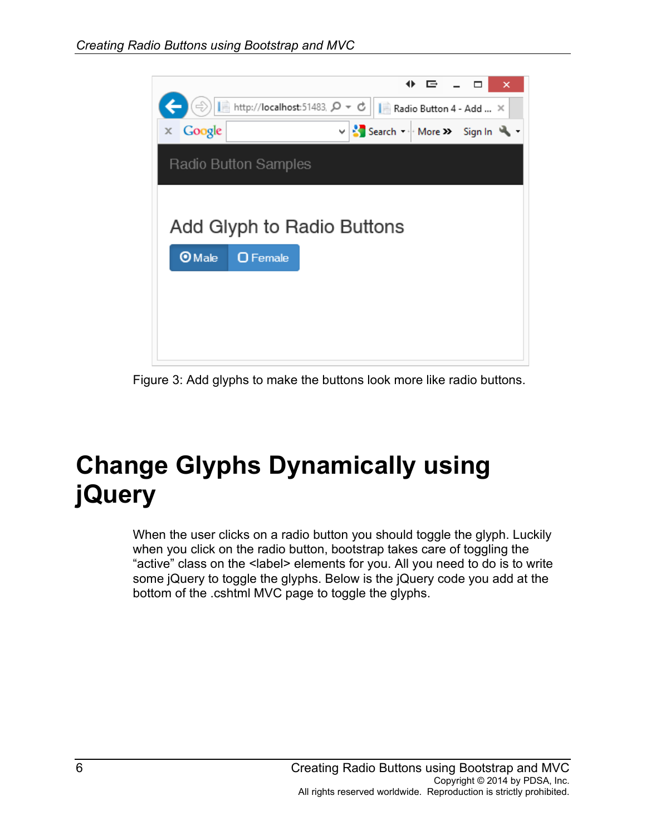

Figure 3: Add glyphs to make the buttons look more like radio buttons.

# **Change Glyphs Dynamically using jQuery**

When the user clicks on a radio button you should toggle the glyph. Luckily when you click on the radio button, bootstrap takes care of toggling the "active" class on the <label> elements for you. All you need to do is to write some jQuery to toggle the glyphs. Below is the jQuery code you add at the bottom of the .cshtml MVC page to toggle the glyphs.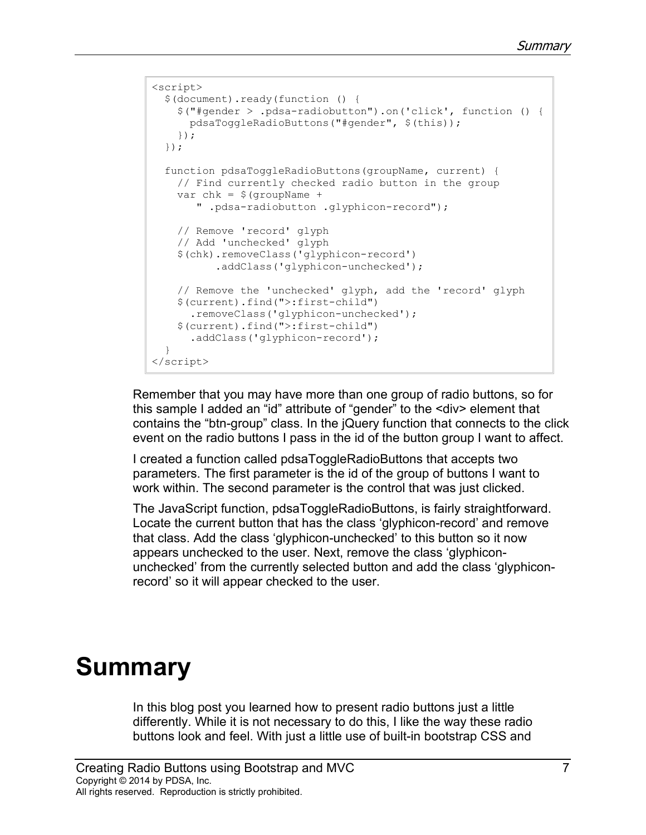```
<script>
  $(document).ready(function () {
     $("#gender > .pdsa-radiobutton").on('click', function () {
      pdsaToggleRadioButtons("#gender", $(this));
    });
  });
  function pdsaToggleRadioButtons(groupName, current) {
    // Find currently checked radio button in the group 
   var chk = $ (groupName +
        " .pdsa-radiobutton .glyphicon-record");
    // Remove 'record' glyph
     // Add 'unchecked' glyph
     $(chk).removeClass('glyphicon-record')
           .addClass('glyphicon-unchecked');
     // Remove the 'unchecked' glyph, add the 'record' glyph
    $(current).find(">:first-child")
      .removeClass('glyphicon-unchecked');
     $(current).find(">:first-child")
       .addClass('glyphicon-record');
  }
</script>
```
Remember that you may have more than one group of radio buttons, so for this sample I added an "id" attribute of "gender" to the <div> element that contains the "btn-group" class. In the jQuery function that connects to the click event on the radio buttons I pass in the id of the button group I want to affect.

I created a function called pdsaToggleRadioButtons that accepts two parameters. The first parameter is the id of the group of buttons I want to work within. The second parameter is the control that was just clicked.

The JavaScript function, pdsaToggleRadioButtons, is fairly straightforward. Locate the current button that has the class 'glyphicon-record' and remove that class. Add the class 'glyphicon-unchecked' to this button so it now appears unchecked to the user. Next, remove the class 'glyphiconunchecked' from the currently selected button and add the class 'glyphiconrecord' so it will appear checked to the user.

## **Summary**

In this blog post you learned how to present radio buttons just a little differently. While it is not necessary to do this, I like the way these radio buttons look and feel. With just a little use of built-in bootstrap CSS and